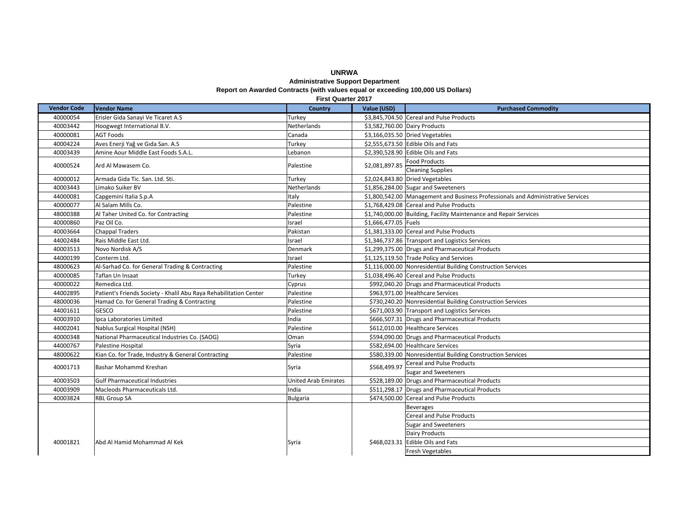# **UNRWAAdministrative Support Department**

### **Report on Awarded Contracts (with values equal or exceeding 100,000 US Dollars)**

**Vendor Code VendorName <b>Little Country D Value** (USD) **D Purchased Commodity** 40000054 Erisler Gida Sanayi Ve Ticaret A.S Turkey **1.2 Sanalyi S2,845,704.50** Cereal and Pulse Products 40003442 Hoogwegt International B.V. Netherlands Netherlands S3,582,760.00 Dairy Products 40000081 AGTCanada \$3,166,035.50 Dried Vegetables 40004224 Aves Enerji Yağ ve Gıda San. A.S Turkey \$2,555,673.50 Edible Oils and Fats 40003439 Amine Aour Middle East Foods S.A.L. Lebanon \$2,390,528.90 Edible Oils and Fats Food Products Cleaning Supplies 40000012 Armada Gida Tic. San. Ltd. Sti. Turkey \$2,024,843.80 Dried Vegetables 40003443 LimakoNetherlands **1.856,284.00** Sugar and Sweeteners 44000081 Capgemini Italia S.p.A Italy \$1,800,542.00 Management and Business Professionals and Administrative Services 40000077 Al Salam Mills Co. Palestine **1988** S1,768,429.08 Cereal and Pulse Products 48000388 Taher UnitedPalestine **1992** \$1,740,000.00 Building, Facility Maintenance and Repair Services 40000860 Paz**Israel \$1,666,477.05 Fuels** 40003664 Chappal Traders Pakistan Research Chappal Traders Pakistan Pakistan Nullse Products (Chappal Traders Products 44002484 Rais Middle East Ltd. Israel \$1,346,737.86 Transport and Logistics Services 40003513 NovoDenmark **1.299,375.00** Drugs and Pharmaceutical Products 44000199 Conterm Ltd. Israel \$1,125,119.50 Trade Policy and Services 48000623 Al-Sarhad Co. for General Trading & Contracting Palestine **Exercise S1,116,000.00** Nonresidential Building Construction Services 40000085 TaflanTurkey **1.038,496.40** Cereal and Pulse Products 40000022 RemedicaCyprus **Exercise 301 Cyprus** \$992,040.20 Drugs and Pharmaceutical Products 44002895 Patient's Friends Society - Khalil Abu Raya Rehabilitation Center Palestine | \$963,971.00 Healthcare Services 48000036 Hamad Co. for General Trading & Contracting Palestine **Francisch Errorat Contraction Services** \$730,240.20 Nonresidential Building Construction Services 44001611 GESCO GESCO RESOLUTION CONSULTED PALESTING PALESTING PALESTING SERVICES PROPERTY AND PALESTING PALESTING PARA PROPERTY SERVICES 40003910 | Ipca Laboratories Limited India India | India | \$666,507.31 | Drugs and Pharmaceutical Products 44002041 Nablus Surgical Hospital (NSH) Palestine  $$612,010.00$  Healthcare Services 40000348 National Pharmaceutical Industries Co. (SAOG) Oman **1986** S594,090.00 Drugs and Pharmaceutical Products 44000767 PalestineSyria  $\sim$  \$582,694.00 Healthcare Services 48000622 Kian Co. for Trade, Industry & General Contracting Palestine **Errage & Franch Contraction Contraction Contraction Services** Cereal and Pulse Products Sugar and Sweeteners 40003503 **Pharmaceutical Industries Community Community Community Community Community Community Community Community Community** \$528,189.00 Drugs and Pharmaceutical Products 40003909 Macleods Pharmaceuticals Ltd. India **Example 2611,298.17** Drugs and Pharmaceutical Products 40003824 RBL Group SA Bulgaria **Bulgaria** 5474,500.00 Cereal and Pulse Products Beverages Cereal and Pulse Products Sugar and Sweeteners Dairy Products Edible Oils and Fats Fresh Vegetables 400018211 Abd Al Hamid Mohammad Al Kek Syria Syria Syria \$468,023.31 **First Quarter 2017**40000524 Ard Al MawasemPalestine | \$2,081,897.85 40001713 Bashar Mohammd Kreshan Syria 3568,499.97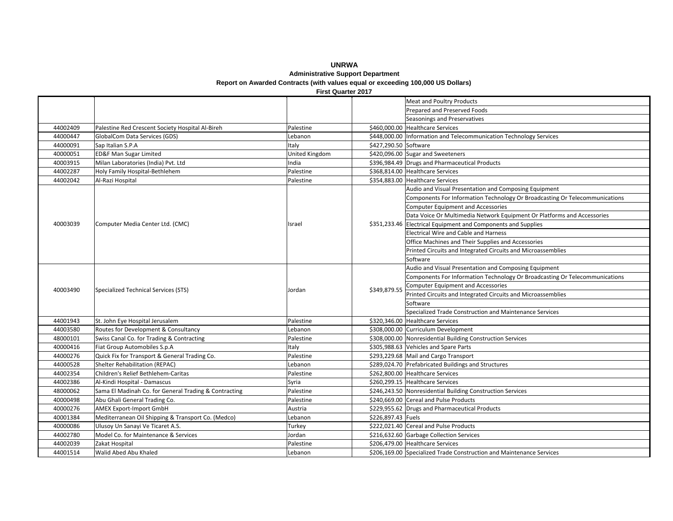#### **UNRWAAdministrative Support Department Report on Awarded Contracts (with values equal or exceeding 100,000 US Dollars) First Quarter 2017**

Meat and Poultry Products Prepared and Preserved Foods Seasonings and Preservatives 44002409 e Red Crescent Society Hospital Al-Bireh Pallestine Palestine **Palestine Palestine** \$460,000.00 Healthcare Services 44000447 GlobalCom Data Services (GDS) Lebanon **1988** S448,000.00 Information and Telecommunication Technology Services 44000091 Sap Italian S.P.A **Italy S.P.A Italy S.P.A Italy S.A. Italy** S.A. Italy S.A. 290.50 Software 40000051 **ED&F Man Sugar Limited** United Kingdom **1** \$420,096.00 Sugar and Sweeteners 40003915 Milan Laboratories (India) Pvt. Ltd India **India** Products (India 2005) Products (India 2016) Products **India** Products 44002287 Holy Family Hospital‐Bethlehem Palestine Palestine \$368,814.00 Healthcare Services 44002042 Al-Razi Hospital Palestine **1956** S354,883.00 Healthcare Services Audio and Visual Presentation and Composing Equipment Components For Information Technology Or Broadcasting Or Telecommunications Computer Equipment and Accessories Data Voice Or Multimedia Network Equipment Or Platforms and Accessories Electrical Equipment and Components and Supplies Electrical Wire and Cable and Harness Office Machines and Their Supplies and Accessories Printed Circuits and Integrated Circuits and Microassemblies **Software** Audio and Visual Presentation and Composing Equipment Components For Information Technology Or Broadcasting Or Telecommunications Computer Equipment and Accessories Printed Circuits and Integrated Circuits and Microassemblies SoftwareSpecialized Trade Construction and Maintenance Services 44001943 St. John Eye Hospital Jerusalem Palestine **1988** S320,346.00 Healthcare Services 44003580 Routes for Development & Consultancy Lebanon **Exercise Accord Exercise Accord Exercise Accord Exercise Accord Lebanon 2016** 48000101 Swiss Canal Co. for Trading & Contracting Palestine  $\frac{1}{2}$  \$308,000.00 Nonresidential Building Construction Services 40000416 Fiat Group Automobiles S.p.A Italy **Example 2.1 Italy** \$305,988.63 Vehicles and Spare Parts 44000276 Quick Fix for Transport & General Trading Co. Palestine Palestine \$293,229.68 Mail and Cargo Transport 44000528 Shelter Rehabilitation (REPAC) Lebanon **1** 5289,024.70 Prefabricated Buildings and Structures 44002354 Children'sPalestine **Bethlehem** S262,800.00 Healthcare Services 44002386 Al-Kindi Hospital - Damascus Syria **Exercise Syria Syria Syria Syria Services** Services 48000062 Sama El Madinah Co. for General Trading & Contracting Palestine **Franch Co. Equator S246,243.50** Nonresidential Building Construction Services 40000498 Abu Ghali General Trading Co. Palestine **Francisch Co. 240,669.00** Cereal and Pulse Products 40000276 AMEX Export-Import GmbH Austria **Export Find Combings** S229,955.62 Drugs and Pharmaceutical Products 40001384 Mediterranean Oil Shipping & Transport Co. (Medco) | Lebanon | \$226,897.43 | Fuels 40000086 Ulusoy Un Sanayi Ve Ticaret A.S. Turkey Turkey Turkey \$222,021.40 Cereal and Pulse Products 44002780 Co. for Maintenance &Jordan **1980** S216,632.60 Garbage Collection Services 44002039 ZakatPalestine  $\sim$  \$206.479.00 Healthcare Services 44001514 WalidLebanon **1988** S206,169.00 Specialized Trade Construction and Maintenance Services 40003490 Specialized Technical Services (STS) Jordan \$349,879.55 40003039Computer Media Center Ltd. (CMC) **Israel** Israel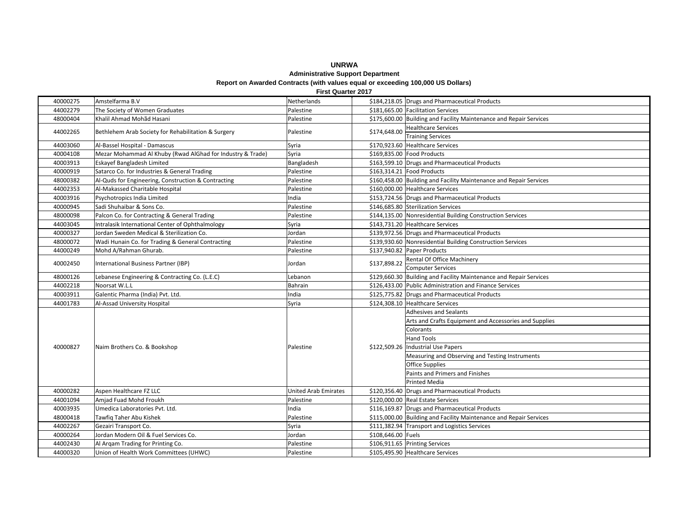### **UNRWA Administrative Support Department Report on Awarded Contracts (with values equal or exceeding 100,000 US Dollars)**

|  | <b>First Quarter 2017</b> |                                                            |                             |                                                                    |  |  |  |  |  |
|--|---------------------------|------------------------------------------------------------|-----------------------------|--------------------------------------------------------------------|--|--|--|--|--|
|  | 40000275                  | Amstelfarma B.V                                            | Netherlands                 | \$184,218.05 Drugs and Pharmaceutical Products                     |  |  |  |  |  |
|  | 44002279                  | The Society of Women Graduates                             | Palestine                   | \$181,665.00 Facilitation Services                                 |  |  |  |  |  |
|  | 48000404                  | Khalil Ahmad Mohãd Hasani                                  | Palestine                   | \$175,600.00 Building and Facility Maintenance and Repair Services |  |  |  |  |  |
|  | 44002265                  | Bethlehem Arab Society for Rehabilitation & Surgery        | Palestine                   | <b>Healthcare Services</b><br>\$174,648.00                         |  |  |  |  |  |
|  |                           |                                                            |                             | <b>Training Services</b>                                           |  |  |  |  |  |
|  | 44003060                  | Al-Bassel Hospital - Damascus                              | Syria                       | \$170,923.60 Healthcare Services                                   |  |  |  |  |  |
|  | 40004108                  | Mezar Mohammad Al Khuby (Rwad AlGhad for Industry & Trade) | Syria                       | \$169,835.00 Food Products                                         |  |  |  |  |  |
|  | 40003913                  | Eskayef Bangladesh Limited                                 | Bangladesh                  | \$163,599.10 Drugs and Pharmaceutical Products                     |  |  |  |  |  |
|  | 40000919                  | Satarco Co. for Industries & General Trading               | Palestine                   | \$163,314.21 Food Products                                         |  |  |  |  |  |
|  | 48000382                  | Al-Quds for Engineering, Construction & Contracting        | Palestine                   | \$160,458.00 Building and Facility Maintenance and Repair Services |  |  |  |  |  |
|  | 44002353                  | Al-Makassed Charitable Hospital                            | Palestine                   | \$160,000.00 Healthcare Services                                   |  |  |  |  |  |
|  | 40003916                  | Psychotropics India Limited                                | India                       | \$153,724.56 Drugs and Pharmaceutical Products                     |  |  |  |  |  |
|  | 40000945                  | Sadi Shuhaibar & Sons Co.                                  | Palestine                   | \$146,685.80 Sterilization Services                                |  |  |  |  |  |
|  | 48000098                  | Palcon Co. for Contracting & General Trading               | Palestine                   | \$144,135.00 Nonresidential Building Construction Services         |  |  |  |  |  |
|  | 44003045                  | Intralasik International Center of Ophthalmology           | Syria                       | \$143,731.20 Healthcare Services                                   |  |  |  |  |  |
|  | 40000327                  | Jordan Sweden Medical & Sterilization Co.                  | Jordan                      | \$139,972.56 Drugs and Pharmaceutical Products                     |  |  |  |  |  |
|  | 48000072                  | Wadi Hunain Co. for Trading & General Contracting          | Palestine                   | \$139,930.60 Nonresidential Building Construction Services         |  |  |  |  |  |
|  | 44000249                  | Mohd A/Rahman Ghurab.                                      | Palestine                   | \$137,940.82 Paper Products                                        |  |  |  |  |  |
|  | 40002450                  | International Business Partner (IBP)                       | Jordan                      | Rental Of Office Machinery<br>\$137,898.22                         |  |  |  |  |  |
|  |                           |                                                            |                             | <b>Computer Services</b>                                           |  |  |  |  |  |
|  | 48000126                  | Lebanese Engineering & Contracting Co. (L.E.C)             | Lebanon                     | \$129,660.30 Building and Facility Maintenance and Repair Services |  |  |  |  |  |
|  | 44002218                  | Noorsat W.L.L                                              | Bahrain                     | \$126,433.00 Public Administration and Finance Services            |  |  |  |  |  |
|  | 40003911                  | Galentic Pharma (India) Pvt. Ltd.                          | India                       | \$125,775.82 Drugs and Pharmaceutical Products                     |  |  |  |  |  |
|  | 44001783                  | Al-Assad University Hospital                               | Syria                       | \$124,308.10 Healthcare Services                                   |  |  |  |  |  |
|  |                           | Naim Brothers Co. & Bookshop                               | Palestine                   | <b>Adhesives and Sealants</b>                                      |  |  |  |  |  |
|  | 40000827                  |                                                            |                             | Arts and Crafts Equipment and Accessories and Supplies             |  |  |  |  |  |
|  |                           |                                                            |                             | Colorants                                                          |  |  |  |  |  |
|  |                           |                                                            |                             | <b>Hand Tools</b>                                                  |  |  |  |  |  |
|  |                           |                                                            |                             | \$122,509.26 Industrial Use Papers                                 |  |  |  |  |  |
|  |                           |                                                            |                             | Measuring and Observing and Testing Instruments                    |  |  |  |  |  |
|  |                           |                                                            |                             | Office Supplies                                                    |  |  |  |  |  |
|  |                           |                                                            |                             | Paints and Primers and Finishes                                    |  |  |  |  |  |
|  |                           |                                                            |                             | <b>Printed Media</b>                                               |  |  |  |  |  |
|  | 40000282                  | Aspen Healthcare FZ LLC                                    | <b>United Arab Emirates</b> | \$120,356.40 Drugs and Pharmaceutical Products                     |  |  |  |  |  |
|  | 44001094                  | Amiad Fuad Mohd Froukh                                     | Palestine                   | \$120,000.00 Real Estate Services                                  |  |  |  |  |  |
|  | 40003935                  | Umedica Laboratories Pyt. Ltd.                             | India                       | \$116,169.87 Drugs and Pharmaceutical Products                     |  |  |  |  |  |
|  | 48000418                  | Tawfiq Taher Abu Kishek                                    | Palestine                   | \$115,000.00 Building and Facility Maintenance and Repair Services |  |  |  |  |  |
|  | 44002267                  | Gezairi Transport Co.                                      | Syria                       | \$111,382.94 Transport and Logistics Services                      |  |  |  |  |  |
|  | 40000264                  | Jordan Modern Oil & Fuel Services Co.                      | Jordan                      | \$108,646.00 Fuels                                                 |  |  |  |  |  |
|  | 44002430                  | Al Arqam Trading for Printing Co.                          | Palestine                   | \$106,911.65 Printing Services                                     |  |  |  |  |  |
|  | 44000320                  | Union of Health Work Committees (UHWC)                     | Palestine                   | \$105,495.90 Healthcare Services                                   |  |  |  |  |  |